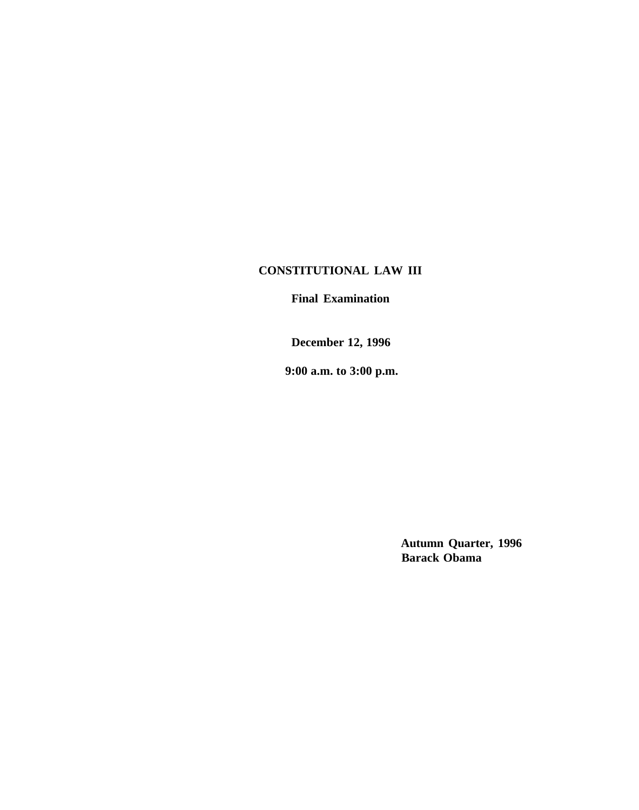## **CONSTITUTIONAL LAW III**

**Final Examination**

**December 12, 1996**

**9:00 a.m. to 3:00 p.m.**

**Autumn Quarter, 1996 Barack Obama**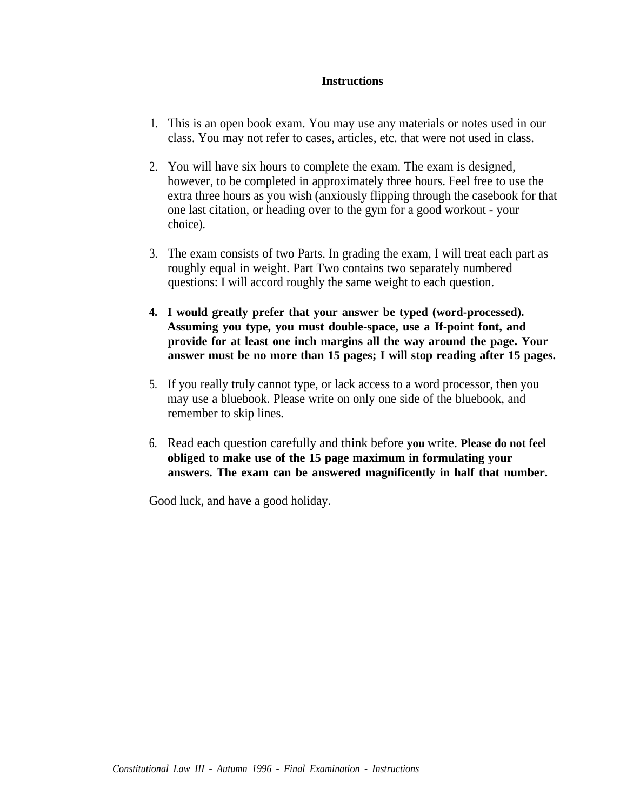## **Instructions**

- 1. This is an open book exam. You may use any materials or notes used in our class. You may not refer to cases, articles, etc. that were not used in class.
- 2. You will have six hours to complete the exam. The exam is designed, however, to be completed in approximately three hours. Feel free to use the extra three hours as you wish (anxiously flipping through the casebook for that one last citation, or heading over to the gym for a good workout - your choice).
- 3. The exam consists of two Parts. In grading the exam, I will treat each part as roughly equal in weight. Part Two contains two separately numbered questions: I will accord roughly the same weight to each question.
- **4. I would greatly prefer that your answer be typed (word-processed). Assuming you type, you must double-space, use a If-point font, and provide for at least one inch margins all the way around the page. Your answer must be no more than 15 pages; I will stop reading after 15 pages.**
- 5. If you really truly cannot type, or lack access to a word processor, then you may use a bluebook. Please write on only one side of the bluebook, and remember to skip lines.
- 6. Read each question carefully and think before **you** write. **Please do not feel obliged to make use of the 15 page maximum in formulating your answers. The exam can be answered magnificently in half that number.**

Good luck, and have a good holiday.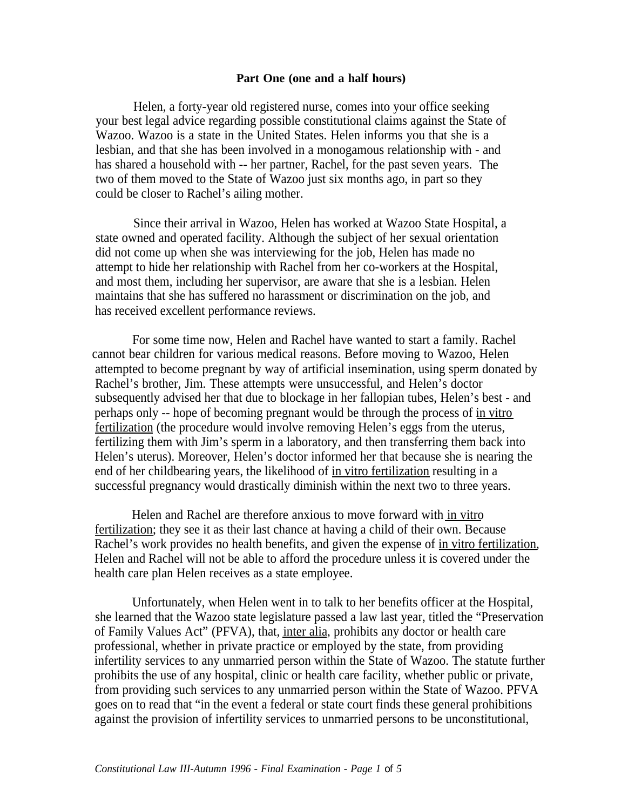## **Part One (one and a half hours)**

Helen, a forty-year old registered nurse, comes into your office seeking your best legal advice regarding possible constitutional claims against the State of Wazoo. Wazoo is a state in the United States. Helen informs you that she is a lesbian, and that she has been involved in a monogamous relationship with - and has shared a household with -- her partner, Rachel, for the past seven years. The two of them moved to the State of Wazoo just six months ago, in part so they could be closer to Rachel's ailing mother.

Since their arrival in Wazoo, Helen has worked at Wazoo State Hospital, a state owned and operated facility. Although the subject of her sexual orientation did not come up when she was interviewing for the job, Helen has made no attempt to hide her relationship with Rachel from her co-workers at the Hospital, and most them, including her supervisor, are aware that she is a lesbian. Helen maintains that she has suffered no harassment or discrimination on the job, and has received excellent performance reviews.

For some time now, Helen and Rachel have wanted to start a family. Rachel cannot bear children for various medical reasons. Before moving to Wazoo, Helen attempted to become pregnant by way of artificial insemination, using sperm donated by Rachel's brother, Jim. These attempts were unsuccessful, and Helen's doctor subsequently advised her that due to blockage in her fallopian tubes, Helen's best - and perhaps only -- hope of becoming pregnant would be through the process of in vitro fertilization (the procedure would involve removing Helen's eggs from the uterus, fertilizing them with Jim's sperm in a laboratory, and then transferring them back into Helen's uterus). Moreover, Helen's doctor informed her that because she is nearing the end of her childbearing years, the likelihood of in vitro fertilization resulting in a successful pregnancy would drastically diminish within the next two to three years.

Helen and Rachel are therefore anxious to move forward with in vitro fertilization; they see it as their last chance at having a child of their own. Because Rachel's work provides no health benefits, and given the expense of in vitro fertilization, Helen and Rachel will not be able to afford the procedure unless it is covered under the health care plan Helen receives as a state employee.

Unfortunately, when Helen went in to talk to her benefits officer at the Hospital, she learned that the Wazoo state legislature passed a law last year, titled the "Preservation of Family Values Act" (PFVA), that, inter alia, prohibits any doctor or health care professional, whether in private practice or employed by the state, from providing infertility services to any unmarried person within the State of Wazoo. The statute further prohibits the use of any hospital, clinic or health care facility, whether public or private, from providing such services to any unmarried person within the State of Wazoo. PFVA goes on to read that "in the event a federal or state court finds these general prohibitions against the provision of infertility services to unmarried persons to be unconstitutional,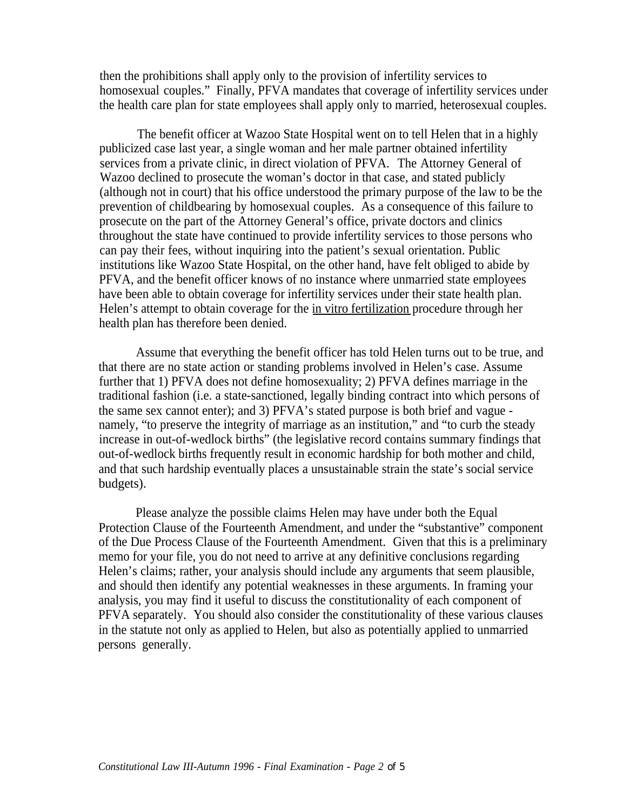then the prohibitions shall apply only to the provision of infertility services to homosexual couples." Finally, PFVA mandates that coverage of infertility services under the health care plan for state employees shall apply only to married, heterosexual couples.

The benefit officer at Wazoo State Hospital went on to tell Helen that in a highly publicized case last year, a single woman and her male partner obtained infertility services from a private clinic, in direct violation of PFVA. The Attorney General of Wazoo declined to prosecute the woman's doctor in that case, and stated publicly (although not in court) that his office understood the primary purpose of the law to be the prevention of childbearing by homosexual couples. As a consequence of this failure to prosecute on the part of the Attorney General's office, private doctors and clinics throughout the state have continued to provide infertility services to those persons who can pay their fees, without inquiring into the patient's sexual orientation. Public institutions like Wazoo State Hospital, on the other hand, have felt obliged to abide by PFVA, and the benefit officer knows of no instance where unmarried state employees have been able to obtain coverage for infertility services under their state health plan. Helen's attempt to obtain coverage for the in vitro fertilization procedure through her health plan has therefore been denied.

Assume that everything the benefit officer has told Helen turns out to be true, and that there are no state action or standing problems involved in Helen's case. Assume further that 1) PFVA does not define homosexuality; 2) PFVA defines marriage in the traditional fashion (i.e. a state-sanctioned, legally binding contract into which persons of the same sex cannot enter); and 3) PFVA's stated purpose is both brief and vague namely, "to preserve the integrity of marriage as an institution," and "to curb the steady increase in out-of-wedlock births" (the legislative record contains summary findings that out-of-wedlock births frequently result in economic hardship for both mother and child, and that such hardship eventually places a unsustainable strain the state's social service budgets).

Please analyze the possible claims Helen may have under both the Equal Protection Clause of the Fourteenth Amendment, and under the "substantive" component of the Due Process Clause of the Fourteenth Amendment. Given that this is a preliminary memo for your file, you do not need to arrive at any definitive conclusions regarding Helen's claims; rather, your analysis should include any arguments that seem plausible, and should then identify any potential weaknesses in these arguments. In framing your analysis, you may find it useful to discuss the constitutionality of each component of PFVA separately. You should also consider the constitutionality of these various clauses in the statute not only as applied to Helen, but also as potentially applied to unmarried persons generally.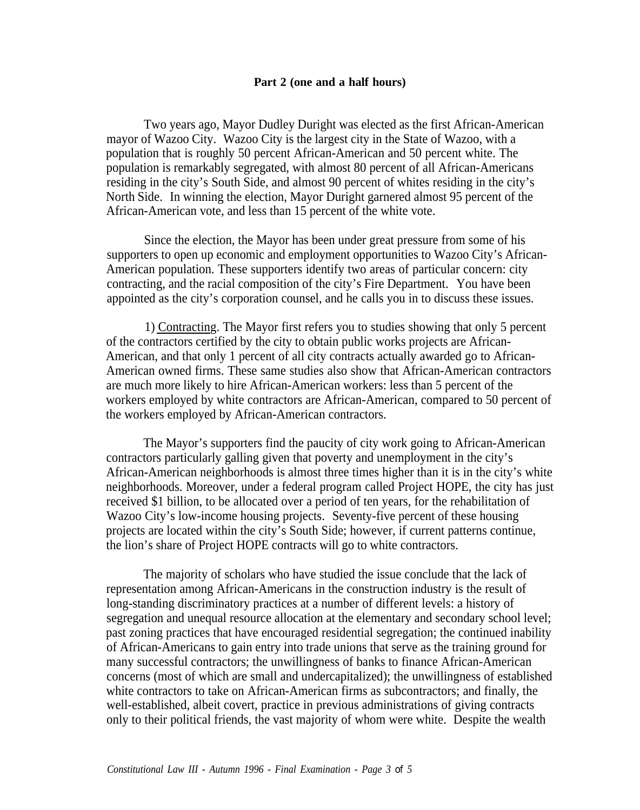## **Part 2 (one and a half hours)**

Two years ago, Mayor Dudley Duright was elected as the first African-American mayor of Wazoo City. Wazoo City is the largest city in the State of Wazoo, with a population that is roughly 50 percent African-American and 50 percent white. The population is remarkably segregated, with almost 80 percent of all African-Americans residing in the city's South Side, and almost 90 percent of whites residing in the city's North Side. In winning the election, Mayor Duright garnered almost 95 percent of the African-American vote, and less than 15 percent of the white vote.

Since the election, the Mayor has been under great pressure from some of his supporters to open up economic and employment opportunities to Wazoo City's African-American population. These supporters identify two areas of particular concern: city contracting, and the racial composition of the city's Fire Department. You have been appointed as the city's corporation counsel, and he calls you in to discuss these issues.

1) Contracting. The Mayor first refers you to studies showing that only 5 percent of the contractors certified by the city to obtain public works projects are African-American, and that only 1 percent of all city contracts actually awarded go to African-American owned firms. These same studies also show that African-American contractors are much more likely to hire African-American workers: less than 5 percent of the workers employed by white contractors are African-American, compared to 50 percent of the workers employed by African-American contractors.

The Mayor's supporters find the paucity of city work going to African-American contractors particularly galling given that poverty and unemployment in the city's African-American neighborhoods is almost three times higher than it is in the city's white neighborhoods. Moreover, under a federal program called Project HOPE, the city has just received \$1 billion, to be allocated over a period of ten years, for the rehabilitation of Wazoo City's low-income housing projects. Seventy-five percent of these housing projects are located within the city's South Side; however, if current patterns continue, the lion's share of Project HOPE contracts will go to white contractors.

The majority of scholars who have studied the issue conclude that the lack of representation among African-Americans in the construction industry is the result of long-standing discriminatory practices at a number of different levels: a history of segregation and unequal resource allocation at the elementary and secondary school level; past zoning practices that have encouraged residential segregation; the continued inability of African-Americans to gain entry into trade unions that serve as the training ground for many successful contractors; the unwillingness of banks to finance African-American concerns (most of which are small and undercapitalized); the unwillingness of established white contractors to take on African-American firms as subcontractors; and finally, the well-established, albeit covert, practice in previous administrations of giving contracts only to their political friends, the vast majority of whom were white. Despite the wealth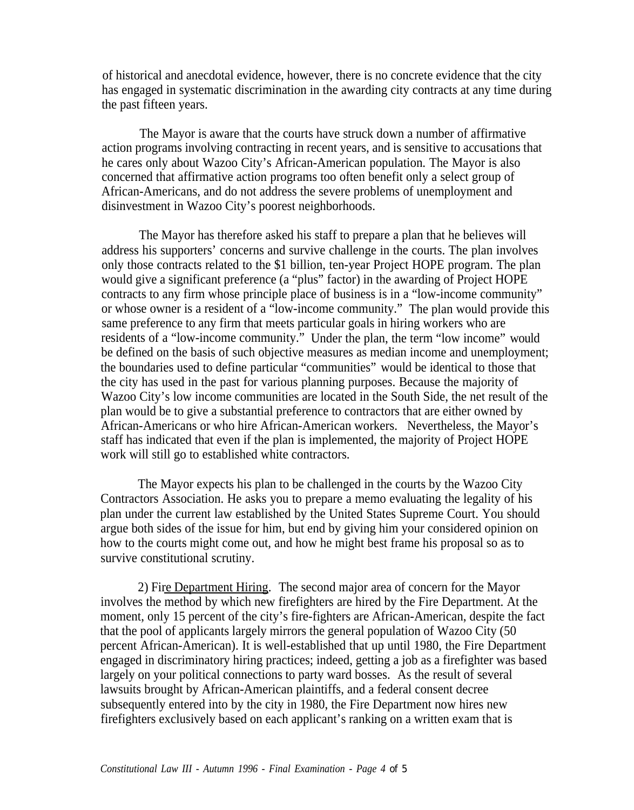of historical and anecdotal evidence, however, there is no concrete evidence that the city has engaged in systematic discrimination in the awarding city contracts at any time during the past fifteen years.

The Mayor is aware that the courts have struck down a number of affirmative action programs involving contracting in recent years, and is sensitive to accusations that he cares only about Wazoo City's African-American population. The Mayor is also concerned that affirmative action programs too often benefit only a select group of African-Americans, and do not address the severe problems of unemployment and disinvestment in Wazoo City's poorest neighborhoods.

The Mayor has therefore asked his staff to prepare a plan that he believes will address his supporters' concerns and survive challenge in the courts. The plan involves only those contracts related to the \$1 billion, ten-year Project HOPE program. The plan would give a significant preference (a "plus" factor) in the awarding of Project HOPE contracts to any firm whose principle place of business is in a "low-income community" or whose owner is a resident of a "low-income community." The plan would provide this same preference to any firm that meets particular goals in hiring workers who are residents of a "low-income community." Under the plan, the term "low income" would be defined on the basis of such objective measures as median income and unemployment; the boundaries used to define particular "communities" would be identical to those that the city has used in the past for various planning purposes. Because the majority of Wazoo City's low income communities are located in the South Side, the net result of the plan would be to give a substantial preference to contractors that are either owned by African-Americans or who hire African-American workers. Nevertheless, the Mayor's staff has indicated that even if the plan is implemented, the majority of Project HOPE work will still go to established white contractors.

The Mayor expects his plan to be challenged in the courts by the Wazoo City Contractors Association. He asks you to prepare a memo evaluating the legality of his plan under the current law established by the United States Supreme Court. You should argue both sides of the issue for him, but end by giving him your considered opinion on how to the courts might come out, and how he might best frame his proposal so as to survive constitutional scrutiny.

2) Fire Department Hiring. The second major area of concern for the Mayor involves the method by which new firefighters are hired by the Fire Department. At the moment, only 15 percent of the city's fire-fighters are African-American, despite the fact that the pool of applicants largely mirrors the general population of Wazoo City (50 percent African-American). It is well-established that up until 1980, the Fire Department engaged in discriminatory hiring practices; indeed, getting a job as a firefighter was based largely on your political connections to party ward bosses. As the result of several lawsuits brought by African-American plaintiffs, and a federal consent decree subsequently entered into by the city in 1980, the Fire Department now hires new firefighters exclusively based on each applicant's ranking on a written exam that is